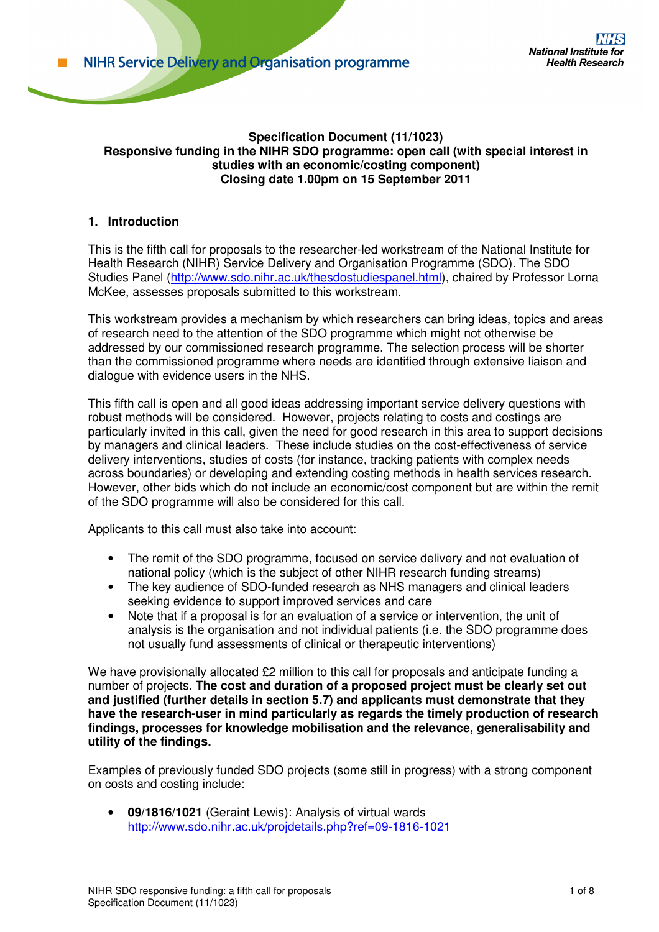#### **Specification Document (11/1023) Responsive funding in the NIHR SDO programme: open call (with special interest in studies with an economic/costing component) Closing date 1.00pm on 15 September 2011**

## **1. Introduction**

This is the fifth call for proposals to the researcher-led workstream of the National Institute for Health Research (NIHR) Service Delivery and Organisation Programme (SDO). The SDO Studies Panel (http://www.sdo.nihr.ac.uk/thesdostudiespanel.html), chaired by Professor Lorna McKee, assesses proposals submitted to this workstream.

This workstream provides a mechanism by which researchers can bring ideas, topics and areas of research need to the attention of the SDO programme which might not otherwise be addressed by our commissioned research programme. The selection process will be shorter than the commissioned programme where needs are identified through extensive liaison and dialogue with evidence users in the NHS.

This fifth call is open and all good ideas addressing important service delivery questions with robust methods will be considered. However, projects relating to costs and costings are particularly invited in this call, given the need for good research in this area to support decisions by managers and clinical leaders. These include studies on the cost-effectiveness of service delivery interventions, studies of costs (for instance, tracking patients with complex needs across boundaries) or developing and extending costing methods in health services research. However, other bids which do not include an economic/cost component but are within the remit of the SDO programme will also be considered for this call.

Applicants to this call must also take into account:

- The remit of the SDO programme, focused on service delivery and not evaluation of national policy (which is the subject of other NIHR research funding streams)
- The key audience of SDO-funded research as NHS managers and clinical leaders seeking evidence to support improved services and care
- Note that if a proposal is for an evaluation of a service or intervention, the unit of analysis is the organisation and not individual patients (i.e. the SDO programme does not usually fund assessments of clinical or therapeutic interventions)

We have provisionally allocated £2 million to this call for proposals and anticipate funding a number of projects. **The cost and duration of a proposed project must be clearly set out and justified (further details in section 5.7) and applicants must demonstrate that they have the research-user in mind particularly as regards the timely production of research findings, processes for knowledge mobilisation and the relevance, generalisability and utility of the findings.** 

Examples of previously funded SDO projects (some still in progress) with a strong component on costs and costing include:

• **09/1816/1021** (Geraint Lewis): Analysis of virtual wards http://www.sdo.nihr.ac.uk/projdetails.php?ref=09-1816-1021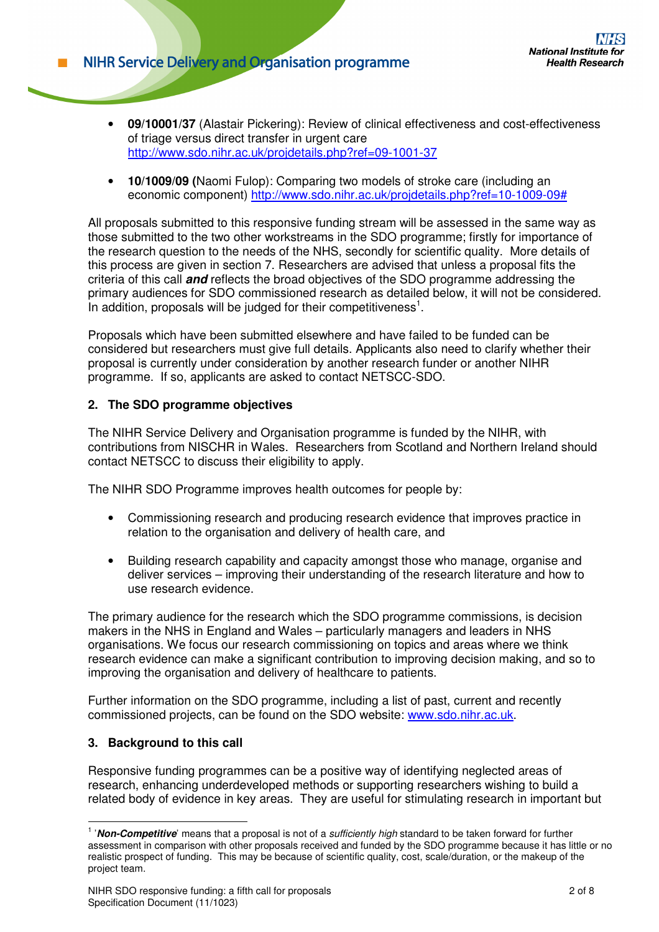- **09/10001/37** (Alastair Pickering): Review of clinical effectiveness and cost-effectiveness of triage versus direct transfer in urgent care http://www.sdo.nihr.ac.uk/projdetails.php?ref=09-1001-37
- **10/1009/09 (**Naomi Fulop): Comparing two models of stroke care (including an economic component) http://www.sdo.nihr.ac.uk/projdetails.php?ref=10-1009-09#

All proposals submitted to this responsive funding stream will be assessed in the same way as those submitted to the two other workstreams in the SDO programme; firstly for importance of the research question to the needs of the NHS, secondly for scientific quality. More details of this process are given in section 7. Researchers are advised that unless a proposal fits the criteria of this call **and** reflects the broad objectives of the SDO programme addressing the primary audiences for SDO commissioned research as detailed below, it will not be considered. In addition, proposals will be judged for their competitiveness<sup>1</sup>.

Proposals which have been submitted elsewhere and have failed to be funded can be considered but researchers must give full details. Applicants also need to clarify whether their proposal is currently under consideration by another research funder or another NIHR programme. If so, applicants are asked to contact NETSCC-SDO.

## **2. The SDO programme objectives**

The NIHR Service Delivery and Organisation programme is funded by the NIHR, with contributions from NISCHR in Wales. Researchers from Scotland and Northern Ireland should contact NETSCC to discuss their eligibility to apply.

The NIHR SDO Programme improves health outcomes for people by:

- Commissioning research and producing research evidence that improves practice in relation to the organisation and delivery of health care, and
- Building research capability and capacity amongst those who manage, organise and deliver services – improving their understanding of the research literature and how to use research evidence.

The primary audience for the research which the SDO programme commissions, is decision makers in the NHS in England and Wales – particularly managers and leaders in NHS organisations. We focus our research commissioning on topics and areas where we think research evidence can make a significant contribution to improving decision making, and so to improving the organisation and delivery of healthcare to patients.

Further information on the SDO programme, including a list of past, current and recently commissioned projects, can be found on the SDO website: www.sdo.nihr.ac.uk.

### **3. Background to this call**

 $\overline{a}$ 

Responsive funding programmes can be a positive way of identifying neglected areas of research, enhancing underdeveloped methods or supporting researchers wishing to build a related body of evidence in key areas. They are useful for stimulating research in important but

<sup>&</sup>lt;sup>1</sup> '**Non-Competitive**' means that a proposal is not of a sufficiently high standard to be taken forward for further assessment in comparison with other proposals received and funded by the SDO programme because it has little or no realistic prospect of funding. This may be because of scientific quality, cost, scale/duration, or the makeup of the project team.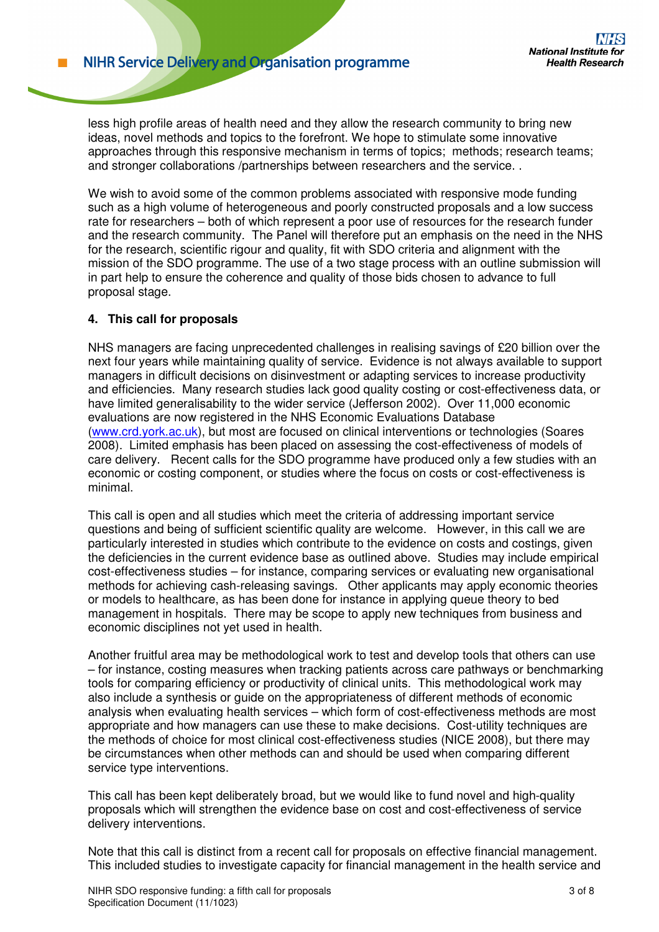less high profile areas of health need and they allow the research community to bring new ideas, novel methods and topics to the forefront. We hope to stimulate some innovative approaches through this responsive mechanism in terms of topics; methods; research teams; and stronger collaborations /partnerships between researchers and the service. .

We wish to avoid some of the common problems associated with responsive mode funding such as a high volume of heterogeneous and poorly constructed proposals and a low success rate for researchers – both of which represent a poor use of resources for the research funder and the research community. The Panel will therefore put an emphasis on the need in the NHS for the research, scientific rigour and quality, fit with SDO criteria and alignment with the mission of the SDO programme. The use of a two stage process with an outline submission will in part help to ensure the coherence and quality of those bids chosen to advance to full proposal stage.

## **4. This call for proposals**

NHS managers are facing unprecedented challenges in realising savings of £20 billion over the next four years while maintaining quality of service. Evidence is not always available to support managers in difficult decisions on disinvestment or adapting services to increase productivity and efficiencies. Many research studies lack good quality costing or cost-effectiveness data, or have limited generalisability to the wider service (Jefferson 2002). Over 11,000 economic evaluations are now registered in the NHS Economic Evaluations Database (www.crd.york.ac.uk), but most are focused on clinical interventions or technologies (Soares 2008). Limited emphasis has been placed on assessing the cost-effectiveness of models of care delivery. Recent calls for the SDO programme have produced only a few studies with an economic or costing component, or studies where the focus on costs or cost-effectiveness is minimal.

This call is open and all studies which meet the criteria of addressing important service questions and being of sufficient scientific quality are welcome. However, in this call we are particularly interested in studies which contribute to the evidence on costs and costings, given the deficiencies in the current evidence base as outlined above. Studies may include empirical cost-effectiveness studies – for instance, comparing services or evaluating new organisational methods for achieving cash-releasing savings. Other applicants may apply economic theories or models to healthcare, as has been done for instance in applying queue theory to bed management in hospitals. There may be scope to apply new techniques from business and economic disciplines not yet used in health.

Another fruitful area may be methodological work to test and develop tools that others can use – for instance, costing measures when tracking patients across care pathways or benchmarking tools for comparing efficiency or productivity of clinical units. This methodological work may also include a synthesis or guide on the appropriateness of different methods of economic analysis when evaluating health services – which form of cost-effectiveness methods are most appropriate and how managers can use these to make decisions. Cost-utility techniques are the methods of choice for most clinical cost-effectiveness studies (NICE 2008), but there may be circumstances when other methods can and should be used when comparing different service type interventions.

This call has been kept deliberately broad, but we would like to fund novel and high-quality proposals which will strengthen the evidence base on cost and cost-effectiveness of service delivery interventions.

Note that this call is distinct from a recent call for proposals on effective financial management. This included studies to investigate capacity for financial management in the health service and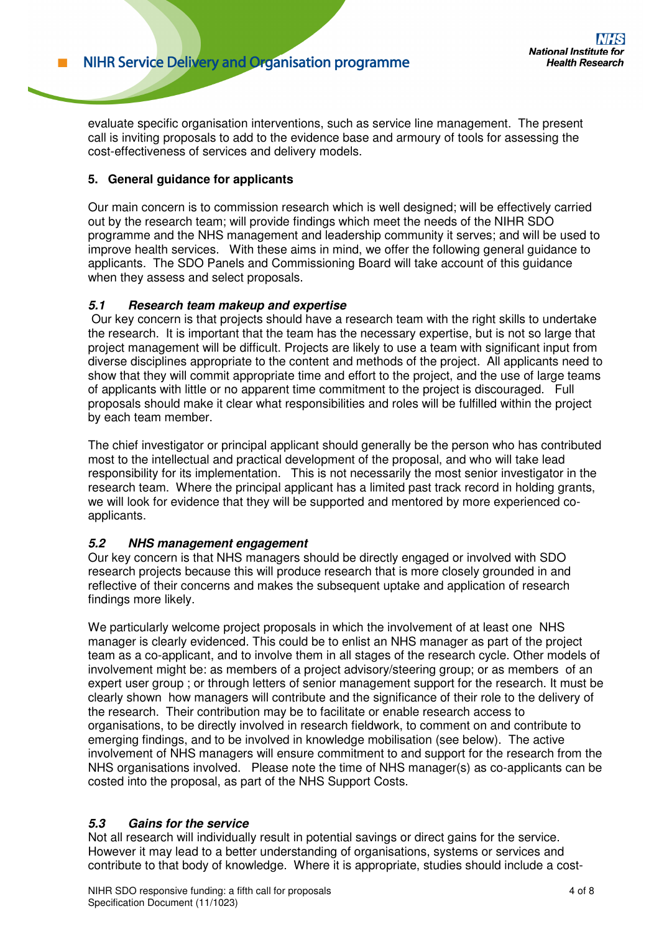evaluate specific organisation interventions, such as service line management. The present call is inviting proposals to add to the evidence base and armoury of tools for assessing the cost-effectiveness of services and delivery models.

## **5. General guidance for applicants**

Our main concern is to commission research which is well designed; will be effectively carried out by the research team; will provide findings which meet the needs of the NIHR SDO programme and the NHS management and leadership community it serves; and will be used to improve health services. With these aims in mind, we offer the following general guidance to applicants. The SDO Panels and Commissioning Board will take account of this guidance when they assess and select proposals.

## **5.1 Research team makeup and expertise**

 Our key concern is that projects should have a research team with the right skills to undertake the research. It is important that the team has the necessary expertise, but is not so large that project management will be difficult. Projects are likely to use a team with significant input from diverse disciplines appropriate to the content and methods of the project. All applicants need to show that they will commit appropriate time and effort to the project, and the use of large teams of applicants with little or no apparent time commitment to the project is discouraged. Full proposals should make it clear what responsibilities and roles will be fulfilled within the project by each team member.

The chief investigator or principal applicant should generally be the person who has contributed most to the intellectual and practical development of the proposal, and who will take lead responsibility for its implementation. This is not necessarily the most senior investigator in the research team. Where the principal applicant has a limited past track record in holding grants, we will look for evidence that they will be supported and mentored by more experienced coapplicants.

### **5.2 NHS management engagement**

Our key concern is that NHS managers should be directly engaged or involved with SDO research projects because this will produce research that is more closely grounded in and reflective of their concerns and makes the subsequent uptake and application of research findings more likely.

We particularly welcome project proposals in which the involvement of at least one NHS manager is clearly evidenced. This could be to enlist an NHS manager as part of the project team as a co-applicant, and to involve them in all stages of the research cycle. Other models of involvement might be: as members of a project advisory/steering group; or as members of an expert user group ; or through letters of senior management support for the research. It must be clearly shown how managers will contribute and the significance of their role to the delivery of the research. Their contribution may be to facilitate or enable research access to organisations, to be directly involved in research fieldwork, to comment on and contribute to emerging findings, and to be involved in knowledge mobilisation (see below). The active involvement of NHS managers will ensure commitment to and support for the research from the NHS organisations involved. Please note the time of NHS manager(s) as co-applicants can be costed into the proposal, as part of the NHS Support Costs.

## **5.3 Gains for the service**

Not all research will individually result in potential savings or direct gains for the service. However it may lead to a better understanding of organisations, systems or services and contribute to that body of knowledge. Where it is appropriate, studies should include a cost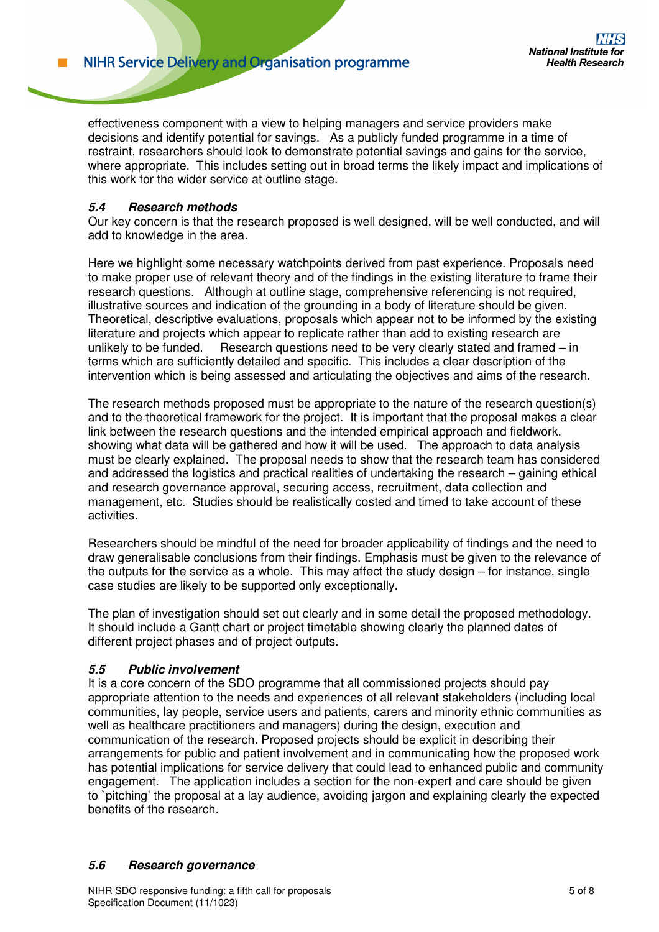effectiveness component with a view to helping managers and service providers make decisions and identify potential for savings. As a publicly funded programme in a time of restraint, researchers should look to demonstrate potential savings and gains for the service, where appropriate. This includes setting out in broad terms the likely impact and implications of this work for the wider service at outline stage.

## **5.4 Research methods**

Our key concern is that the research proposed is well designed, will be well conducted, and will add to knowledge in the area.

Here we highlight some necessary watchpoints derived from past experience. Proposals need to make proper use of relevant theory and of the findings in the existing literature to frame their research questions. Although at outline stage, comprehensive referencing is not required, illustrative sources and indication of the grounding in a body of literature should be given. Theoretical, descriptive evaluations, proposals which appear not to be informed by the existing literature and projects which appear to replicate rather than add to existing research are unlikely to be funded. Research questions need to be very clearly stated and framed – in terms which are sufficiently detailed and specific. This includes a clear description of the intervention which is being assessed and articulating the objectives and aims of the research.

The research methods proposed must be appropriate to the nature of the research question(s) and to the theoretical framework for the project. It is important that the proposal makes a clear link between the research questions and the intended empirical approach and fieldwork, showing what data will be gathered and how it will be used. The approach to data analysis must be clearly explained. The proposal needs to show that the research team has considered and addressed the logistics and practical realities of undertaking the research – gaining ethical and research governance approval, securing access, recruitment, data collection and management, etc. Studies should be realistically costed and timed to take account of these activities.

Researchers should be mindful of the need for broader applicability of findings and the need to draw generalisable conclusions from their findings. Emphasis must be given to the relevance of the outputs for the service as a whole. This may affect the study design – for instance, single case studies are likely to be supported only exceptionally.

The plan of investigation should set out clearly and in some detail the proposed methodology. It should include a Gantt chart or project timetable showing clearly the planned dates of different project phases and of project outputs.

### **5.5 Public involvement**

It is a core concern of the SDO programme that all commissioned projects should pay appropriate attention to the needs and experiences of all relevant stakeholders (including local communities, lay people, service users and patients, carers and minority ethnic communities as well as healthcare practitioners and managers) during the design, execution and communication of the research. Proposed projects should be explicit in describing their arrangements for public and patient involvement and in communicating how the proposed work has potential implications for service delivery that could lead to enhanced public and community engagement. The application includes a section for the non-expert and care should be given to `pitching' the proposal at a lay audience, avoiding jargon and explaining clearly the expected benefits of the research.

### **5.6 Research governance**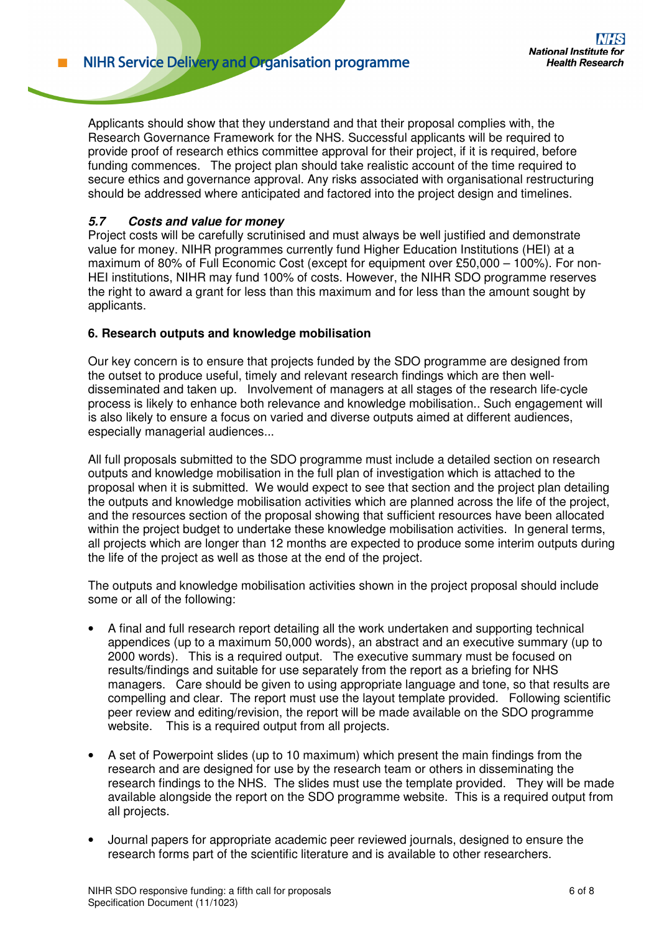Applicants should show that they understand and that their proposal complies with, the Research Governance Framework for the NHS. Successful applicants will be required to provide proof of research ethics committee approval for their project, if it is required, before funding commences. The project plan should take realistic account of the time required to secure ethics and governance approval. Any risks associated with organisational restructuring should be addressed where anticipated and factored into the project design and timelines.

## **5.7 Costs and value for money**

Project costs will be carefully scrutinised and must always be well justified and demonstrate value for money. NIHR programmes currently fund Higher Education Institutions (HEI) at a maximum of 80% of Full Economic Cost (except for equipment over £50,000 – 100%). For non-HEI institutions, NIHR may fund 100% of costs. However, the NIHR SDO programme reserves the right to award a grant for less than this maximum and for less than the amount sought by applicants.

### **6. Research outputs and knowledge mobilisation**

Our key concern is to ensure that projects funded by the SDO programme are designed from the outset to produce useful, timely and relevant research findings which are then welldisseminated and taken up. Involvement of managers at all stages of the research life-cycle process is likely to enhance both relevance and knowledge mobilisation.. Such engagement will is also likely to ensure a focus on varied and diverse outputs aimed at different audiences, especially managerial audiences...

All full proposals submitted to the SDO programme must include a detailed section on research outputs and knowledge mobilisation in the full plan of investigation which is attached to the proposal when it is submitted. We would expect to see that section and the project plan detailing the outputs and knowledge mobilisation activities which are planned across the life of the project, and the resources section of the proposal showing that sufficient resources have been allocated within the project budget to undertake these knowledge mobilisation activities. In general terms, all projects which are longer than 12 months are expected to produce some interim outputs during the life of the project as well as those at the end of the project.

The outputs and knowledge mobilisation activities shown in the project proposal should include some or all of the following:

- A final and full research report detailing all the work undertaken and supporting technical appendices (up to a maximum 50,000 words), an abstract and an executive summary (up to 2000 words). This is a required output. The executive summary must be focused on results/findings and suitable for use separately from the report as a briefing for NHS managers. Care should be given to using appropriate language and tone, so that results are compelling and clear. The report must use the layout template provided. Following scientific peer review and editing/revision, the report will be made available on the SDO programme website. This is a required output from all projects.
- A set of Powerpoint slides (up to 10 maximum) which present the main findings from the research and are designed for use by the research team or others in disseminating the research findings to the NHS. The slides must use the template provided. They will be made available alongside the report on the SDO programme website. This is a required output from all projects.
- Journal papers for appropriate academic peer reviewed journals, designed to ensure the research forms part of the scientific literature and is available to other researchers.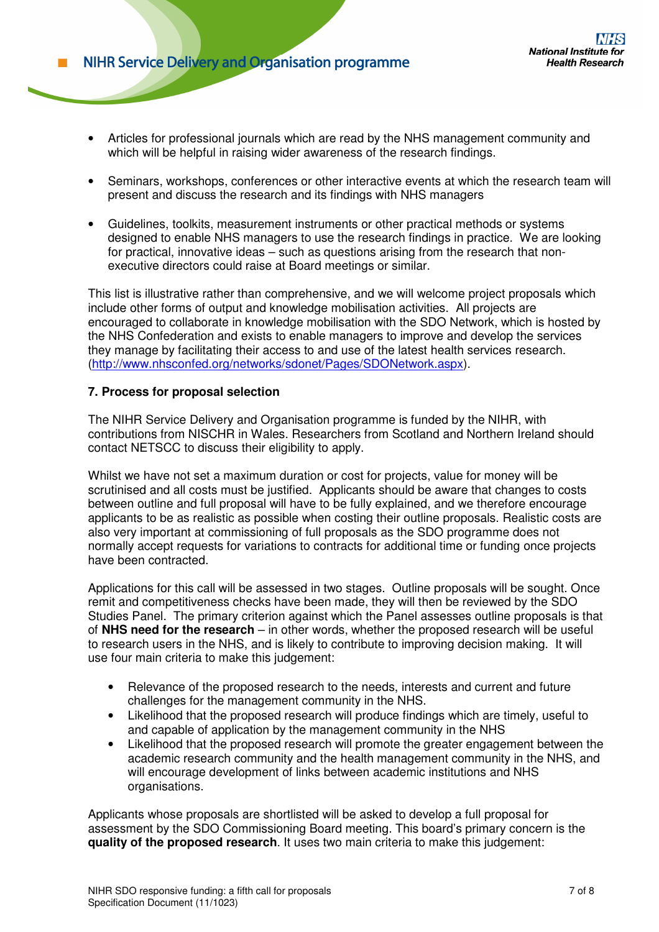- Articles for professional journals which are read by the NHS management community and which will be helpful in raising wider awareness of the research findings.
- Seminars, workshops, conferences or other interactive events at which the research team will present and discuss the research and its findings with NHS managers
- Guidelines, toolkits, measurement instruments or other practical methods or systems designed to enable NHS managers to use the research findings in practice. We are looking for practical, innovative ideas – such as questions arising from the research that nonexecutive directors could raise at Board meetings or similar.

This list is illustrative rather than comprehensive, and we will welcome project proposals which include other forms of output and knowledge mobilisation activities. All projects are encouraged to collaborate in knowledge mobilisation with the SDO Network, which is hosted by the NHS Confederation and exists to enable managers to improve and develop the services they manage by facilitating their access to and use of the latest health services research. (http://www.nhsconfed.org/networks/sdonet/Pages/SDONetwork.aspx).

### **7. Process for proposal selection**

The NIHR Service Delivery and Organisation programme is funded by the NIHR, with contributions from NISCHR in Wales. Researchers from Scotland and Northern Ireland should contact NETSCC to discuss their eligibility to apply.

Whilst we have not set a maximum duration or cost for projects, value for money will be scrutinised and all costs must be justified. Applicants should be aware that changes to costs between outline and full proposal will have to be fully explained, and we therefore encourage applicants to be as realistic as possible when costing their outline proposals. Realistic costs are also very important at commissioning of full proposals as the SDO programme does not normally accept requests for variations to contracts for additional time or funding once projects have been contracted.

Applications for this call will be assessed in two stages. Outline proposals will be sought. Once remit and competitiveness checks have been made, they will then be reviewed by the SDO Studies Panel. The primary criterion against which the Panel assesses outline proposals is that of **NHS need for the research** – in other words, whether the proposed research will be useful to research users in the NHS, and is likely to contribute to improving decision making. It will use four main criteria to make this judgement:

- Relevance of the proposed research to the needs, interests and current and future challenges for the management community in the NHS.
- Likelihood that the proposed research will produce findings which are timely, useful to and capable of application by the management community in the NHS
- Likelihood that the proposed research will promote the greater engagement between the academic research community and the health management community in the NHS, and will encourage development of links between academic institutions and NHS organisations.

Applicants whose proposals are shortlisted will be asked to develop a full proposal for assessment by the SDO Commissioning Board meeting. This board's primary concern is the **quality of the proposed research**. It uses two main criteria to make this judgement: